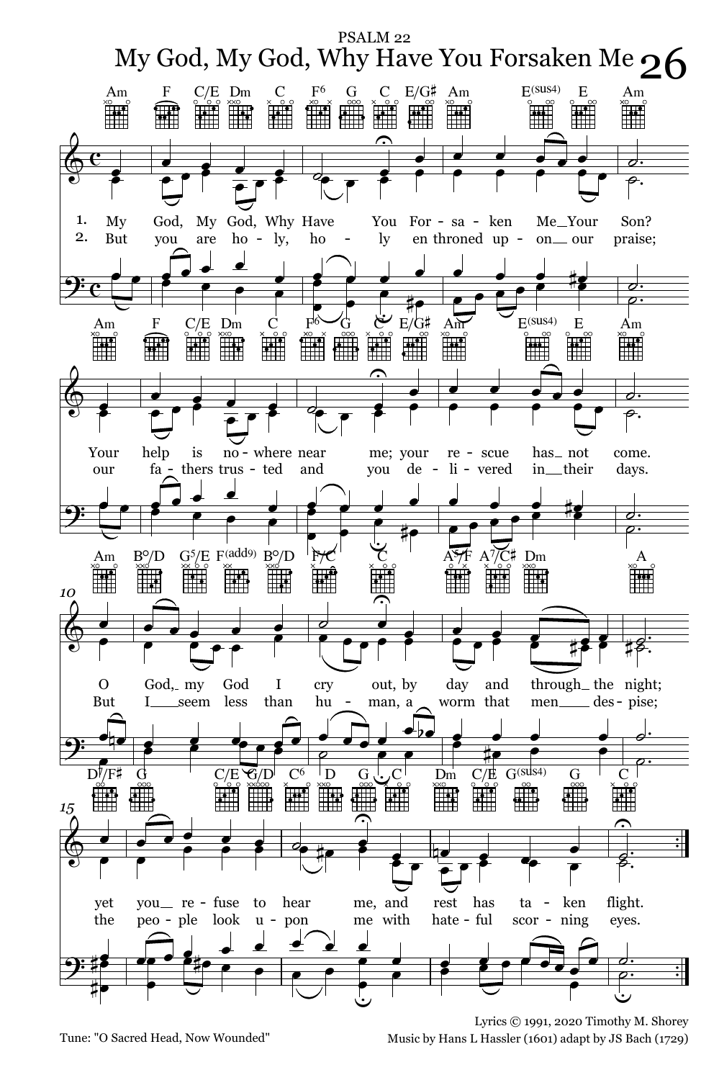

Tune: "O Sacred Head, Now Wounded"

Lyrics C 1991, 2020 Timothy M. Shorey Music by Hans L Hassler (1601) adapt by JS Bach (1729)